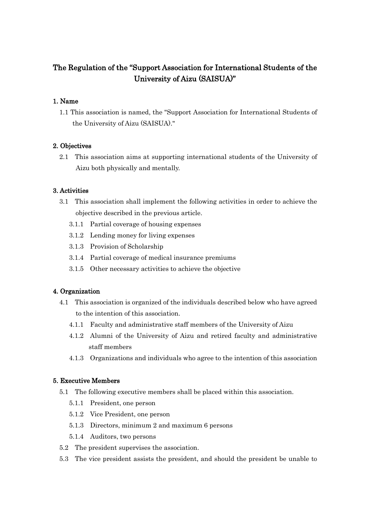# The Regulation of the "Support Association for International Students of the University of Aizu (SAISUA)"

## 1. Name

 1.1 This association is named, the "Support Association for International Students of the University of Aizu (SAISUA)."

### 2. Objectives

 2.1 This association aims at supporting international students of the University of Aizu both physically and mentally.

### 3. Activities

- 3.1 This association shall implement the following activities in order to achieve the objective described in the previous article.
	- 3.1.1 Partial coverage of housing expenses
	- 3.1.2 Lending money for living expenses
	- 3.1.3 Provision of Scholarship
	- 3.1.4 Partial coverage of medical insurance premiums
	- 3.1.5 Other necessary activities to achieve the objective

#### 4. Organization

- 4.1 This association is organized of the individuals described below who have agreed to the intention of this association.
	- 4.1.1 Faculty and administrative staff members of the University of Aizu
	- 4.1.2 Alumni of the University of Aizu and retired faculty and administrative staff members
	- 4.1.3 Organizations and individuals who agree to the intention of this association

#### 5. Executive Members

- 5.1 The following executive members shall be placed within this association.
	- 5.1.1 President, one person
	- 5.1.2 Vice President, one person
	- 5.1.3 Directors, minimum 2 and maximum 6 persons
	- 5.1.4 Auditors, two persons
- 5.2 The president supervises the association.
- 5.3 The vice president assists the president, and should the president be unable to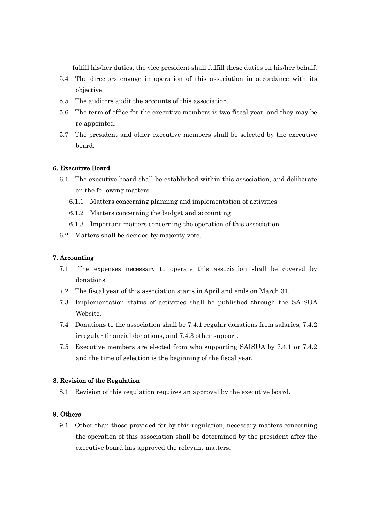fulfill his/her duties, the vice president shall fulfill these duties on his/her behalf.

- 5.4 The directors engage in operation of this association in accordance with its objective.
- 5.5 The auditors audit the accounts of this association.
- 5.6 The term of office for the executive members is two fiscal year, and they may be re-appointed.
- 5.7 The president and other executive members shall be selected by the executive board.

### 6. Executive Board

- 6.1 The executive board shall be established within this association, and deliberate on the following matters.
	- 6.1.1 Matters concerning planning and implementation of activities
	- 6.1.2 Matters concerning the budget and accounting
	- 6.1.3 Important matters concerning the operation of this association
- 6.2 Matters shall be decided by majority vote.

#### 7. Accounting

- 7.1 The expenses necessary to operate this association shall be covered by donations.
- 7.2 The fiscal year of this association starts in April and ends on March 31.
- 7.3 Implementation status of activities shall be published through the SAISUA Website.
- 7.4 Donations to the association shall be 7.4.1 regular donations from salaries, 7.4.2 irregular financial donations, and 7.4.3 other support.
- 7.5 Executive members are elected from who supporting SAISUA by 7.4.1 or 7.4.2 and the time of selection is the beginning of the fiscal year.

#### 8. Revision of the Regulation

8.1 Revision of this regulation requires an approval by the executive board.

## 9. Others

 9.1 Other than those provided for by this regulation, necessary matters concerning the operation of this association shall be determined by the president after the executive board has approved the relevant matters.